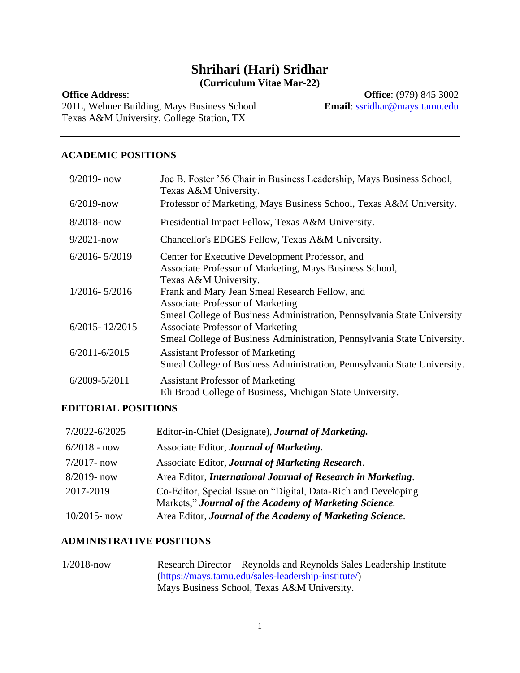# **Shrihari (Hari) Sridhar (Curriculum Vitae Mar-22)**

#### **Office Address**:

201L, Wehner Building, Mays Business School Texas A&M University, College Station, TX

**Office**: (979) 845 3002 **Email**: [ssridhar@mays.tamu.edu](mailto:ssridhar@mays.tamu.edu)

#### **ACADEMIC POSITIONS**

| $9/2019$ - now     | Joe B. Foster '56 Chair in Business Leadership, Mays Business School,<br>Texas A&M University.                                                                       |
|--------------------|----------------------------------------------------------------------------------------------------------------------------------------------------------------------|
| $6/2019$ -now      | Professor of Marketing, Mays Business School, Texas A&M University.                                                                                                  |
| $8/2018$ - now     | Presidential Impact Fellow, Texas A&M University.                                                                                                                    |
| $9/2021 - now$     | Chancellor's EDGES Fellow, Texas A&M University.                                                                                                                     |
| $6/2016 - 5/2019$  | Center for Executive Development Professor, and<br>Associate Professor of Marketing, Mays Business School,<br>Texas A&M University.                                  |
| $1/2016 - 5/2016$  | Frank and Mary Jean Smeal Research Fellow, and<br><b>Associate Professor of Marketing</b><br>Smeal College of Business Administration, Pennsylvania State University |
| $6/2015 - 12/2015$ | <b>Associate Professor of Marketing</b><br>Smeal College of Business Administration, Pennsylvania State University.                                                  |
| $6/2011 - 6/2015$  | <b>Assistant Professor of Marketing</b><br>Smeal College of Business Administration, Pennsylvania State University.                                                  |
| $6/2009 - 5/2011$  | <b>Assistant Professor of Marketing</b><br>Eli Broad College of Business, Michigan State University.                                                                 |

### **EDITORIAL POSITIONS**

| 7/2022-6/2025   | Editor-in-Chief (Designate), <b>Journal of Marketing.</b>                                                                |
|-----------------|--------------------------------------------------------------------------------------------------------------------------|
| $6/2018 - now$  | Associate Editor, Journal of Marketing.                                                                                  |
| $7/2017 - now$  | Associate Editor, Journal of Marketing Research.                                                                         |
| 8/2019- now     | Area Editor, International Journal of Research in Marketing.                                                             |
| 2017-2019       | Co-Editor, Special Issue on "Digital, Data-Rich and Developing<br>Markets," Journal of the Academy of Marketing Science. |
| $10/2015$ - now | Area Editor, Journal of the Academy of Marketing Science.                                                                |

### **ADMINISTRATIVE POSITIONS**

1/2018-now Research Director – Reynolds and Reynolds Sales Leadership Institute [\(https://mays.tamu.edu/sales-leadership-institute/\)](https://mays.tamu.edu/sales-leadership-institute/) Mays Business School, Texas A&M University.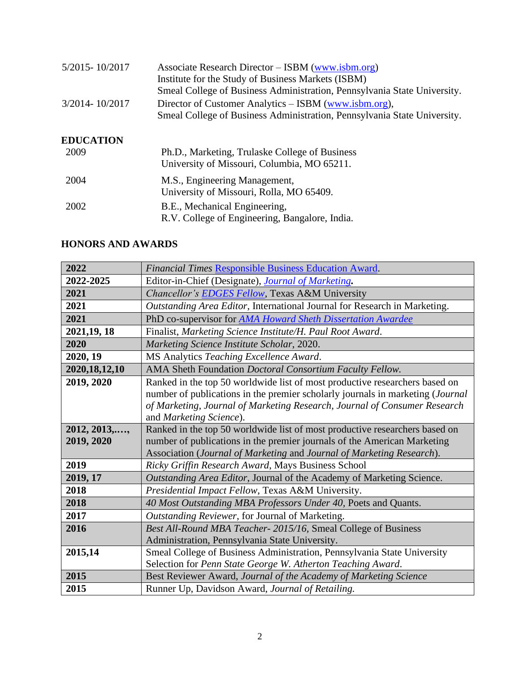| 5/2015-10/2017   | Associate Research Director – ISBM (www.isbm.org)<br>Institute for the Study of Business Markets (ISBM)<br>Smeal College of Business Administration, Pennsylvania State University. |
|------------------|-------------------------------------------------------------------------------------------------------------------------------------------------------------------------------------|
| 3/2014-10/2017   | Director of Customer Analytics – ISBM (www.isbm.org),<br>Smeal College of Business Administration, Pennsylvania State University.                                                   |
| <b>EDUCATION</b> |                                                                                                                                                                                     |
| 2009             | Ph.D., Marketing, Trulaske College of Business<br>University of Missouri, Columbia, MO 65211.                                                                                       |
| 2004             | M.S., Engineering Management,<br>University of Missouri, Rolla, MO 65409.                                                                                                           |
| 2002             | B.E., Mechanical Engineering,<br>R.V. College of Engineering, Bangalore, India.                                                                                                     |

# **HONORS AND AWARDS**

| 2022             | Financial Times Responsible Business Education Award.                          |
|------------------|--------------------------------------------------------------------------------|
| 2022-2025        | Editor-in-Chief (Designate), <i>Journal of Marketing</i> .                     |
| 2021             | Chancellor's <b>EDGES Fellow</b> , Texas A&M University                        |
| 2021             | Outstanding Area Editor, International Journal for Research in Marketing.      |
| 2021             | PhD co-supervisor for AMA Howard Sheth Dissertation Awardee                    |
| 2021, 19, 18     | Finalist, Marketing Science Institute/H. Paul Root Award.                      |
| 2020             | Marketing Science Institute Scholar, 2020.                                     |
| 2020, 19         | MS Analytics Teaching Excellence Award.                                        |
| 2020, 18, 12, 10 | AMA Sheth Foundation Doctoral Consortium Faculty Fellow.                       |
| 2019, 2020       | Ranked in the top 50 worldwide list of most productive researchers based on    |
|                  | number of publications in the premier scholarly journals in marketing (Journal |
|                  | of Marketing, Journal of Marketing Research, Journal of Consumer Research      |
|                  | and Marketing Science).                                                        |
| 2012, 2013,,     | Ranked in the top 50 worldwide list of most productive researchers based on    |
| 2019, 2020       | number of publications in the premier journals of the American Marketing       |
|                  | Association (Journal of Marketing and Journal of Marketing Research).          |
| 2019             | Ricky Griffin Research Award, Mays Business School                             |
| 2019, 17         | Outstanding Area Editor, Journal of the Academy of Marketing Science.          |
| 2018             | Presidential Impact Fellow, Texas A&M University.                              |
| 2018             | 40 Most Outstanding MBA Professors Under 40, Poets and Quants.                 |
| 2017             | Outstanding Reviewer, for Journal of Marketing.                                |
| 2016             | Best All-Round MBA Teacher- 2015/16, Smeal College of Business                 |
|                  | Administration, Pennsylvania State University.                                 |
| 2015,14          | Smeal College of Business Administration, Pennsylvania State University        |
|                  | Selection for Penn State George W. Atherton Teaching Award.                    |
| 2015             | Best Reviewer Award, Journal of the Academy of Marketing Science               |
| 2015             | Runner Up, Davidson Award, Journal of Retailing.                               |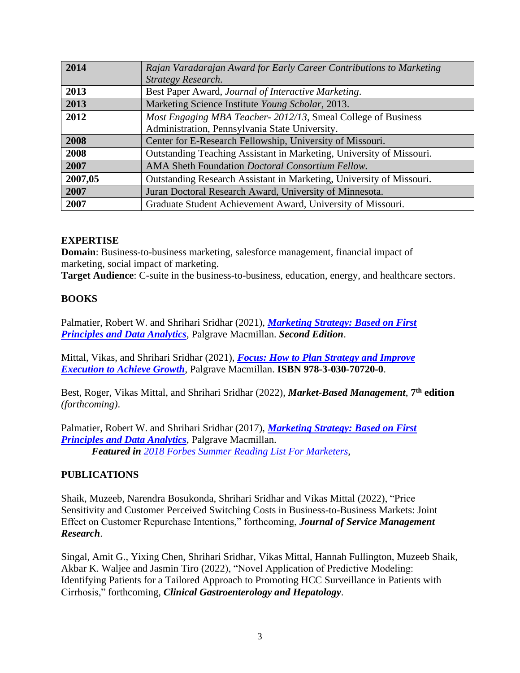| 2014    | Rajan Varadarajan Award for Early Career Contributions to Marketing  |
|---------|----------------------------------------------------------------------|
|         | Strategy Research.                                                   |
| 2013    | Best Paper Award, Journal of Interactive Marketing.                  |
| 2013    | Marketing Science Institute Young Scholar, 2013.                     |
| 2012    | Most Engaging MBA Teacher-2012/13, Smeal College of Business         |
|         | Administration, Pennsylvania State University.                       |
| 2008    | Center for E-Research Fellowship, University of Missouri.            |
| 2008    | Outstanding Teaching Assistant in Marketing, University of Missouri. |
| 2007    | AMA Sheth Foundation Doctoral Consortium Fellow.                     |
| 2007,05 | Outstanding Research Assistant in Marketing, University of Missouri. |
| 2007    | Juran Doctoral Research Award, University of Minnesota.              |
| 2007    | Graduate Student Achievement Award, University of Missouri.          |

## **EXPERTISE**

**Domain**: Business-to-business marketing, salesforce management, financial impact of marketing, social impact of marketing.

**Target Audience**: C-suite in the business-to-business, education, energy, and healthcare sectors.

## **BOOKS**

Palmatier, Robert W. and Shrihari Sridhar (2021), *[Marketing Strategy: Based on First](https://www.amazon.com/Marketing-Strategy-Based-Principles-Analytics/dp/1352011468/ref=sr_1_3?dchild=1&qid=1618074624&refinements=p_27%3AShrihari+Sridhar&s=books&sr=1-3#customerReviews)  [Principles and Data Analytics](https://www.amazon.com/Marketing-Strategy-Based-Principles-Analytics/dp/1352011468/ref=sr_1_3?dchild=1&qid=1618074624&refinements=p_27%3AShrihari+Sridhar&s=books&sr=1-3#customerReviews)*, Palgrave Macmillan. *Second Edition*.

Mittal, Vikas, and Shrihari Sridhar (2021), *[Focus: How to Plan Strategy and Improve](https://www.amazon.com/Focus-Strategy-Improve-Execution-Achieve/dp/3030707199/ref=sr_1_1?dchild=1&keywords=focus+mittal+sridhar&qid=1612971620&sr=8-1)  [Execution to Achieve Growth](https://www.amazon.com/Focus-Strategy-Improve-Execution-Achieve/dp/3030707199/ref=sr_1_1?dchild=1&keywords=focus+mittal+sridhar&qid=1612971620&sr=8-1)*, Palgrave Macmillan. **ISBN 978-3-030-70720-0**.

Best, Roger, Vikas Mittal, and Shrihari Sridhar (2022), *Market-Based Management*, **7 th edition** *(forthcoming)*.

Palmatier, Robert W. and Shrihari Sridhar (2017), *[Marketing Strategy: Based on First](https://www.amazon.com/Marketing-Strategy-Based-Principles-Analytics/dp/1137526238/ref=sr_1_2?dchild=1&qid=1618074624&refinements=p_27%3AShrihari+Sridhar&s=books&sr=1-2)  [Principles and Data Analytics](https://www.amazon.com/Marketing-Strategy-Based-Principles-Analytics/dp/1137526238/ref=sr_1_2?dchild=1&qid=1618074624&refinements=p_27%3AShrihari+Sridhar&s=books&sr=1-2)*, Palgrave Macmillan. *Featured in [2018 Forbes Summer Reading List For Marketers](https://www.forbes.com/sites/kimberlywhitler/2018/06/03/the-2018-summer-reading-list-for-marketers/?utm_source=Diane%2BMcDonald%2Band%2BBrie%2BPampell&utm_campaign=d6e4da3f60-EMAIL_CAMPAIGN_2018_06_04_11_47&utm_medium=email&utm_term=0_50d7176338-d6e4da3f60-&mc_cid=d6e4da3f60&mc_eid=%5BUNIQID%5D#1fe6889d4282)*,

## **PUBLICATIONS**

Shaik, Muzeeb, Narendra Bosukonda, Shrihari Sridhar and Vikas Mittal (2022), "Price Sensitivity and Customer Perceived Switching Costs in Business-to-Business Markets: Joint Effect on Customer Repurchase Intentions," forthcoming, *Journal of Service Management Research*.

Singal, Amit G., Yixing Chen, Shrihari Sridhar, Vikas Mittal, Hannah Fullington, Muzeeb Shaik, Akbar K. Waljee and Jasmin Tiro (2022), "Novel Application of Predictive Modeling: Identifying Patients for a Tailored Approach to Promoting HCC Surveillance in Patients with Cirrhosis," forthcoming, *Clinical Gastroenterology and Hepatology*.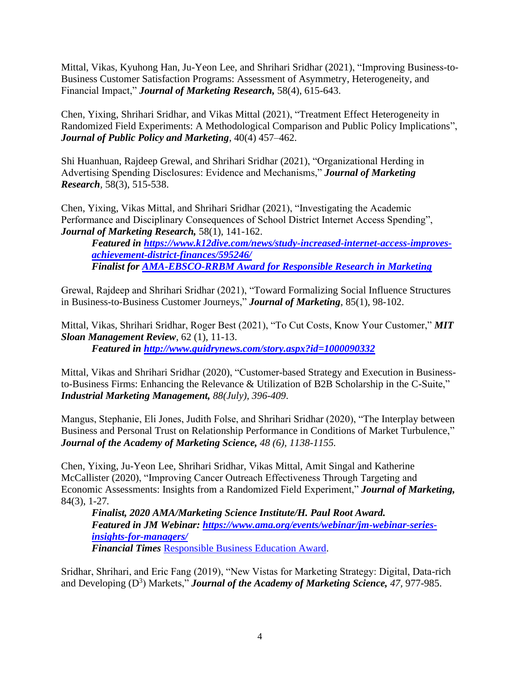Mittal, Vikas, Kyuhong Han, Ju-Yeon Lee, and Shrihari Sridhar (2021), "Improving Business-to-Business Customer Satisfaction Programs: Assessment of Asymmetry, Heterogeneity, and Financial Impact," *Journal of Marketing Research,* 58(4), 615-643.

Chen, Yixing, Shrihari Sridhar, and Vikas Mittal (2021), "Treatment Effect Heterogeneity in Randomized Field Experiments: A Methodological Comparison and Public Policy Implications", *Journal of Public Policy and Marketing*, 40(4) 457–462.

Shi Huanhuan, Rajdeep Grewal, and Shrihari Sridhar (2021), "Organizational Herding in Advertising Spending Disclosures: Evidence and Mechanisms," *Journal of Marketing Research,* 58(3), 515-538.

Chen, Yixing, Vikas Mittal, and Shrihari Sridhar (2021), "Investigating the Academic Performance and Disciplinary Consequences of School District Internet Access Spending", *Journal of Marketing Research,* 58(1), 141-162.

*Featured in [https://www.k12dive.com/news/study-increased-internet-access-improves](https://www.k12dive.com/news/study-increased-internet-access-improves-achievement-district-finances/595246/)[achievement-district-finances/595246/](https://www.k12dive.com/news/study-increased-internet-access-improves-achievement-district-finances/595246/) Finalist for [AMA-EBSCO-RRBM Award for Responsible Research in Marketing](https://urldefense.com/v3/__https:/www.ama.org/2021/12/15/ama-ebsco-rrbm-annual-award-for-responsible-research-in-marketing-2022-recipients-announced/__;!!KwNVnqRv!SyRM5WyCfkDwSqJa5GGercb0-Yf9Y_vZBSl7KBV_C64FtMu_ggB8y0vxqht5-AMO2BM$)*

Grewal, Rajdeep and Shrihari Sridhar (2021), "Toward Formalizing Social Influence Structures in Business-to-Business Customer Journeys," *Journal of Marketing*, 85(1), 98-102.

Mittal, Vikas, Shrihari Sridhar, Roger Best (2021), "To Cut Costs, Know Your Customer," *MIT Sloan Management Review*, 62 (1), 11-13. *Featured in<http://www.guidrynews.com/story.aspx?id=1000090332>*

Mittal, Vikas and Shrihari Sridhar (2020), "Customer-based Strategy and Execution in Businessto-Business Firms: Enhancing the Relevance & Utilization of B2B Scholarship in the C-Suite," *Industrial Marketing Management, 88(July), 396-409*.

Mangus, Stephanie, Eli Jones, Judith Folse, and Shrihari Sridhar (2020), "The Interplay between Business and Personal Trust on Relationship Performance in Conditions of Market Turbulence," *Journal of the Academy of Marketing Science, 48 (6), 1138-1155.*

Chen, Yixing, Ju-Yeon Lee, Shrihari Sridhar, Vikas Mittal, Amit Singal and Katherine McCallister (2020), "Improving Cancer Outreach Effectiveness Through Targeting and Economic Assessments: Insights from a Randomized Field Experiment," *Journal of Marketing,*  84(3), 1-27*.*

*Finalist, 2020 AMA/Marketing Science Institute/H. Paul Root Award. Featured in JM Webinar: [https://www.ama.org/events/webinar/jm-webinar-series](https://www.ama.org/events/webinar/jm-webinar-series-insights-for-managers/)[insights-for-managers/](https://www.ama.org/events/webinar/jm-webinar-series-insights-for-managers/) Financial Times* [Responsible Business Education Award.](https://www.ft.com/content/d5ca2a09-333b-4f86-9e99-3a3bf1b86c75)

Sridhar, Shrihari, and Eric Fang (2019), "New Vistas for Marketing Strategy: Digital, Data-rich and Developing (D<sup>3</sup>) Markets," **Journal of the Academy of Marketing Science**, 47, 977-985.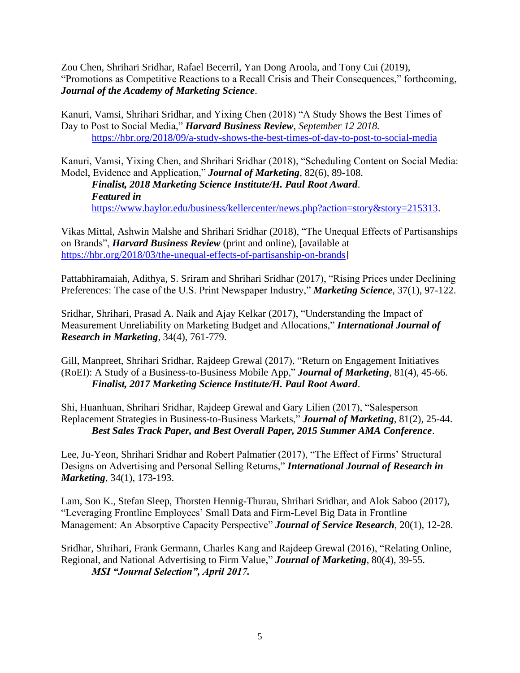Zou Chen, Shrihari Sridhar, Rafael Becerril, Yan Dong Aroola, and Tony Cui (2019), "Promotions as Competitive Reactions to a Recall Crisis and Their Consequences," forthcoming, *Journal of the Academy of Marketing Science*.

Kanuri, Vamsi, Shrihari Sridhar, and Yixing Chen (2018) "A Study Shows the Best Times of Day to Post to Social Media," *Harvard Business Review, September 12 2018.* <https://hbr.org/2018/09/a-study-shows-the-best-times-of-day-to-post-to-social-media>

Kanuri, Vamsi, Yixing Chen, and Shrihari Sridhar (2018), "Scheduling Content on Social Media: Model, Evidence and Application," *Journal of Marketing,* 82(6), 89-108.

*Finalist, 2018 Marketing Science Institute/H. Paul Root Award*. *Featured in* [https://www.baylor.edu/business/kellercenter/news.php?action=story&story=215313.](https://www.baylor.edu/business/kellercenter/news.php?action=story&story=215313)

Vikas Mittal, Ashwin Malshe and Shrihari Sridhar (2018), "The Unequal Effects of Partisanships on Brands", *Harvard Business Review* (print and online), [available at [https://hbr.org/2018/03/the-unequal-effects-of-partisanship-on-brands\]](https://hbr.org/2018/03/the-unequal-effects-of-partisanship-on-brands)

Pattabhiramaiah, Adithya, S. Sriram and Shrihari Sridhar (2017), "Rising Prices under Declining Preferences: The case of the U.S. Print Newspaper Industry," *Marketing Science,* 37(1), 97-122.

Sridhar, Shrihari, Prasad A. Naik and Ajay Kelkar (2017), "Understanding the Impact of Measurement Unreliability on Marketing Budget and Allocations," *International Journal of Research in Marketing*, 34(4), 761-779.

Gill, Manpreet, Shrihari Sridhar, Rajdeep Grewal (2017), "Return on Engagement Initiatives (RoEI): A Study of a Business-to-Business Mobile App," *Journal of Marketing*, 81(4), 45-66. *Finalist, 2017 Marketing Science Institute/H. Paul Root Award*.

Shi, Huanhuan, Shrihari Sridhar, Rajdeep Grewal and Gary Lilien (2017), "Salesperson Replacement Strategies in Business-to-Business Markets," *Journal of Marketing*, 81(2), 25-44. *Best Sales Track Paper, and Best Overall Paper, 2015 Summer AMA Conference*.

Lee, Ju-Yeon, Shrihari Sridhar and Robert Palmatier (2017), "The Effect of Firms' Structural Designs on Advertising and Personal Selling Returns," *International Journal of Research in Marketing*, 34(1), 173-193.

Lam, Son K., Stefan Sleep, Thorsten Hennig-Thurau, Shrihari Sridhar, and Alok Saboo (2017), "Leveraging Frontline Employees' Small Data and Firm-Level Big Data in Frontline Management: An Absorptive Capacity Perspective" *Journal of Service Research*, 20(1), 12-28.

Sridhar, Shrihari, Frank Germann, Charles Kang and Rajdeep Grewal (2016), "Relating Online, Regional, and National Advertising to Firm Value," *Journal of Marketing*, 80(4), 39-55. *MSI "Journal Selection", April 2017.*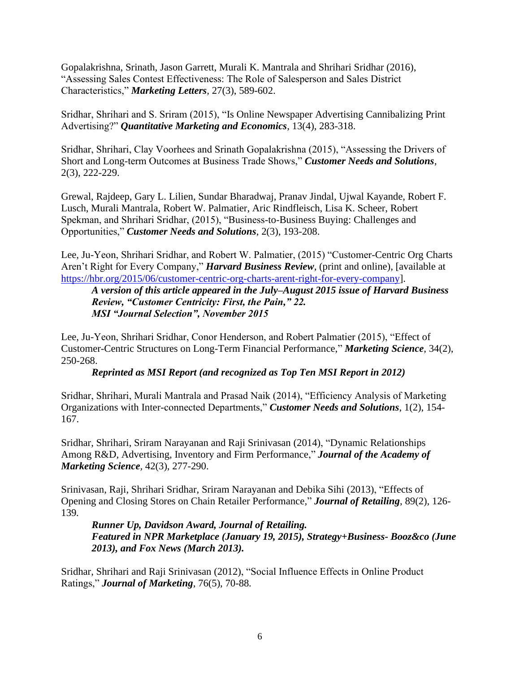Gopalakrishna, Srinath, Jason Garrett, Murali K. Mantrala and Shrihari Sridhar (2016), "Assessing Sales Contest Effectiveness: The Role of Salesperson and Sales District Characteristics," *Marketing Letters,* 27(3), 589-602.

Sridhar, Shrihari and S. Sriram (2015), "Is Online Newspaper Advertising Cannibalizing Print Advertising?" *Quantitative Marketing and Economics*, 13(4), 283-318.

Sridhar, Shrihari, Clay Voorhees and Srinath Gopalakrishna (2015), "Assessing the Drivers of Short and Long-term Outcomes at Business Trade Shows," *Customer Needs and Solutions*, 2(3), 222-229.

Grewal, Rajdeep, Gary L. Lilien, Sundar Bharadwaj, Pranav Jindal, Ujwal Kayande, Robert F. Lusch, Murali Mantrala, Robert W. Palmatier, Aric Rindfleisch, Lisa K. Scheer, Robert Spekman, and Shrihari Sridhar, (2015), "Business-to-Business Buying: Challenges and Opportunities," *Customer Needs and Solutions*, 2(3), 193-208.

Lee, Ju-Yeon, Shrihari Sridhar, and Robert W. Palmatier, (2015) "Customer-Centric Org Charts Aren't Right for Every Company," *Harvard Business Review*, (print and online), [available at [https://hbr.org/2015/06/customer-centric-org-charts-arent-right-for-every-company\]](https://hbr.org/2015/06/customer-centric-org-charts-arent-right-for-every-company).

*A version of this article appeared in the July–August 2015 issue of Harvard Business Review, "Customer Centricity: First, the Pain," 22. MSI "Journal Selection", November 2015*

Lee, Ju-Yeon, Shrihari Sridhar, Conor Henderson, and Robert Palmatier (2015), "Effect of Customer-Centric Structures on Long-Term Financial Performance," *Marketing Science*, 34(2), 250-268.

*Reprinted as MSI Report (and recognized as Top Ten MSI Report in 2012)*

Sridhar, Shrihari, Murali Mantrala and Prasad Naik (2014), "Efficiency Analysis of Marketing Organizations with Inter-connected Departments," *Customer Needs and Solutions*, 1(2), 154- 167.

Sridhar, Shrihari, Sriram Narayanan and Raji Srinivasan (2014), "Dynamic Relationships Among R&D, Advertising, Inventory and Firm Performance," *Journal of the Academy of Marketing Science,* 42(3), 277-290.

Srinivasan, Raji, Shrihari Sridhar, Sriram Narayanan and Debika Sihi (2013), "Effects of Opening and Closing Stores on Chain Retailer Performance," *Journal of Retailing*, 89(2), 126- 139*.*

*Runner Up, Davidson Award, Journal of Retailing. Featured in NPR Marketplace (January 19, 2015), Strategy+Business- Booz&co (June 2013), and Fox News (March 2013).*

Sridhar, Shrihari and Raji Srinivasan (2012), "Social Influence Effects in Online Product Ratings," *Journal of Marketing*, 76(5), 70-88*.*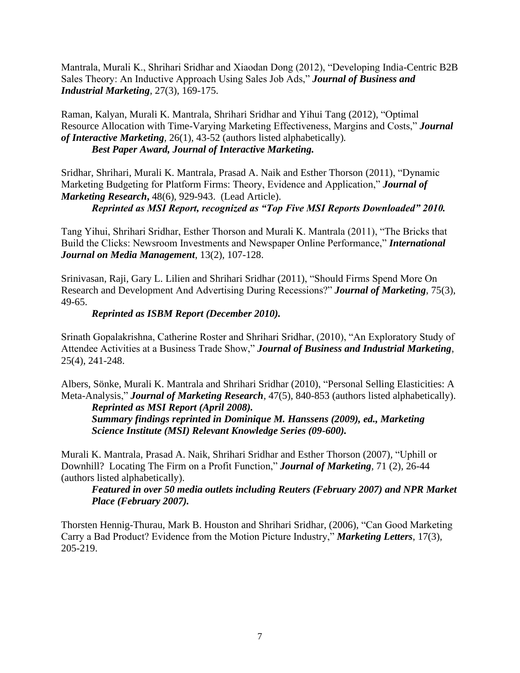Mantrala, Murali K., Shrihari Sridhar and Xiaodan Dong (2012), "Developing India-Centric B2B Sales Theory: An Inductive Approach Using Sales Job Ads," *Journal of Business and Industrial Marketing*, 27(3), 169-175.

Raman, Kalyan, Murali K. Mantrala, Shrihari Sridhar and Yihui Tang (2012), "Optimal Resource Allocation with Time-Varying Marketing Effectiveness, Margins and Costs," *Journal of Interactive Marketing,* 26(1), 43-52 (authors listed alphabetically)*. Best Paper Award, Journal of Interactive Marketing.*

Sridhar, Shrihari, Murali K. Mantrala, Prasad A. Naik and Esther Thorson (2011), "Dynamic Marketing Budgeting for Platform Firms: Theory, Evidence and Application," *Journal of Marketing Research***,** 48(6), 929-943. (Lead Article).

*Reprinted as MSI Report, recognized as "Top Five MSI Reports Downloaded" 2010.* 

Tang Yihui, Shrihari Sridhar, Esther Thorson and Murali K. Mantrala (2011), "The Bricks that Build the Clicks: Newsroom Investments and Newspaper Online Performance," *International Journal on Media Management*, 13(2), 107-128.

Srinivasan, Raji, Gary L. Lilien and Shrihari Sridhar (2011), "Should Firms Spend More On Research and Development And Advertising During Recessions?" *Journal of Marketing*, 75(3), 49-65.

## *Reprinted as ISBM Report (December 2010).*

Srinath Gopalakrishna, Catherine Roster and Shrihari Sridhar, (2010), "An Exploratory Study of Attendee Activities at a Business Trade Show," *Journal of Business and Industrial Marketing*, 25(4), 241-248.

Albers, Sönke, Murali K. Mantrala and Shrihari Sridhar (2010), "Personal Selling Elasticities: A Meta-Analysis," *Journal of Marketing Research,* 47(5), 840-853 (authors listed alphabetically).

*Reprinted as MSI Report (April 2008). Summary findings reprinted in Dominique M. Hanssens (2009), ed., Marketing Science Institute (MSI) Relevant Knowledge Series (09-600).* 

Murali K. Mantrala, Prasad A. Naik, Shrihari Sridhar and Esther Thorson (2007), "Uphill or Downhill? Locating The Firm on a Profit Function," *Journal of Marketing*, 71 (2), 26-44 (authors listed alphabetically).

*Featured in over 50 media outlets including Reuters (February 2007) and NPR Market Place (February 2007).*

Thorsten Hennig-Thurau, Mark B. Houston and Shrihari Sridhar, (2006), "Can Good Marketing Carry a Bad Product? Evidence from the Motion Picture Industry," *Marketing Letters*, 17(3), 205-219.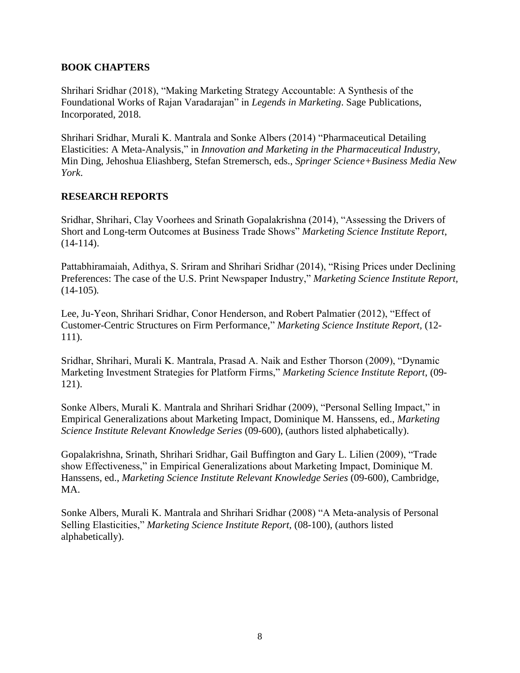## **BOOK CHAPTERS**

Shrihari Sridhar (2018), "Making Marketing Strategy Accountable: A Synthesis of the Foundational Works of Rajan Varadarajan" in *Legends in Marketing*. Sage Publications, Incorporated, 2018.

Shrihari Sridhar, Murali K. Mantrala and Sonke Albers (2014) "Pharmaceutical Detailing Elasticities: A Meta-Analysis," in *Innovation and Marketing in the Pharmaceutical Industry,*  Min Ding, Jehoshua Eliashberg, Stefan Stremersch, eds., *Springer Science+Business Media New York*.

# **RESEARCH REPORTS**

Sridhar, Shrihari, Clay Voorhees and Srinath Gopalakrishna (2014), "Assessing the Drivers of Short and Long-term Outcomes at Business Trade Shows" *Marketing Science Institute Report*,  $(14-114)$ .

Pattabhiramaiah, Adithya, S. Sriram and Shrihari Sridhar (2014), "Rising Prices under Declining Preferences: The case of the U.S. Print Newspaper Industry," *Marketing Science Institute Report,*  (14-105)*.*

Lee, Ju-Yeon, Shrihari Sridhar, Conor Henderson, and Robert Palmatier (2012), "Effect of Customer-Centric Structures on Firm Performance," *Marketing Science Institute Report,* (12- 111).

Sridhar, Shrihari, Murali K. Mantrala, Prasad A. Naik and Esther Thorson (2009), "Dynamic Marketing Investment Strategies for Platform Firms," *Marketing Science Institute Report*, (09- 121).

Sonke Albers, Murali K. Mantrala and Shrihari Sridhar (2009), "Personal Selling Impact," in Empirical Generalizations about Marketing Impact, Dominique M. Hanssens, ed., *Marketing Science Institute Relevant Knowledge Series* (09-600), (authors listed alphabetically).

Gopalakrishna, Srinath, Shrihari Sridhar, Gail Buffington and Gary L. Lilien (2009), "Trade show Effectiveness," in Empirical Generalizations about Marketing Impact, Dominique M. Hanssens, ed., *Marketing Science Institute Relevant Knowledge Series* (09-600), Cambridge, MA.

Sonke Albers, Murali K. Mantrala and Shrihari Sridhar (2008) "A Meta-analysis of Personal Selling Elasticities," *Marketing Science Institute Report,* (08-100), (authors listed alphabetically).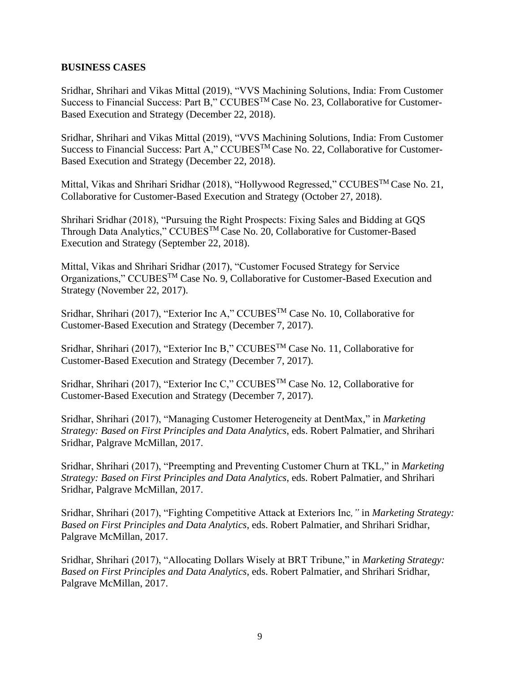### **BUSINESS CASES**

Sridhar, Shrihari and Vikas Mittal (2019), "VVS Machining Solutions, India: From Customer Success to Financial Success: Part B," CCUBESTM Case No. 23, Collaborative for Customer-Based Execution and Strategy (December 22, 2018).

Sridhar, Shrihari and Vikas Mittal (2019), "VVS Machining Solutions, India: From Customer Success to Financial Success: Part A," CCUBESTM Case No. 22, Collaborative for Customer-Based Execution and Strategy (December 22, 2018).

Mittal, Vikas and Shrihari Sridhar (2018), "Hollywood Regressed," CCUBES<sup>TM</sup> Case No. 21, Collaborative for Customer-Based Execution and Strategy (October 27, 2018).

Shrihari Sridhar (2018), "Pursuing the Right Prospects: Fixing Sales and Bidding at GQS Through Data Analytics," CCUBESTM Case No. 20, Collaborative for Customer-Based Execution and Strategy (September 22, 2018).

Mittal, Vikas and Shrihari Sridhar (2017), "Customer Focused Strategy for Service Organizations," CCUBES<sup>TM</sup> Case No. 9, Collaborative for Customer-Based Execution and Strategy (November 22, 2017).

Sridhar, Shrihari (2017), "Exterior Inc A," CCUBESTM Case No. 10, Collaborative for Customer-Based Execution and Strategy (December 7, 2017).

Sridhar, Shrihari (2017), "Exterior Inc B," CCUBESTM Case No. 11, Collaborative for Customer-Based Execution and Strategy (December 7, 2017).

Sridhar, Shrihari (2017), "Exterior Inc C," CCUBESTM Case No. 12, Collaborative for Customer-Based Execution and Strategy (December 7, 2017).

Sridhar, Shrihari (2017), "Managing Customer Heterogeneity at DentMax*,*" in *Marketing Strategy: Based on First Principles and Data Analytics*, eds. Robert Palmatier, and Shrihari Sridhar, Palgrave McMillan, 2017.

Sridhar, Shrihari (2017), "Preempting and Preventing Customer Churn at TKL*,*" in *Marketing Strategy: Based on First Principles and Data Analytics*, eds. Robert Palmatier, and Shrihari Sridhar, Palgrave McMillan, 2017.

Sridhar, Shrihari (2017), "Fighting Competitive Attack at Exteriors Inc*,"* in *Marketing Strategy: Based on First Principles and Data Analytics*, eds. Robert Palmatier, and Shrihari Sridhar, Palgrave McMillan, 2017.

Sridhar, Shrihari (2017), "Allocating Dollars Wisely at BRT Tribune," in *Marketing Strategy: Based on First Principles and Data Analytics*, eds. Robert Palmatier, and Shrihari Sridhar, Palgrave McMillan, 2017.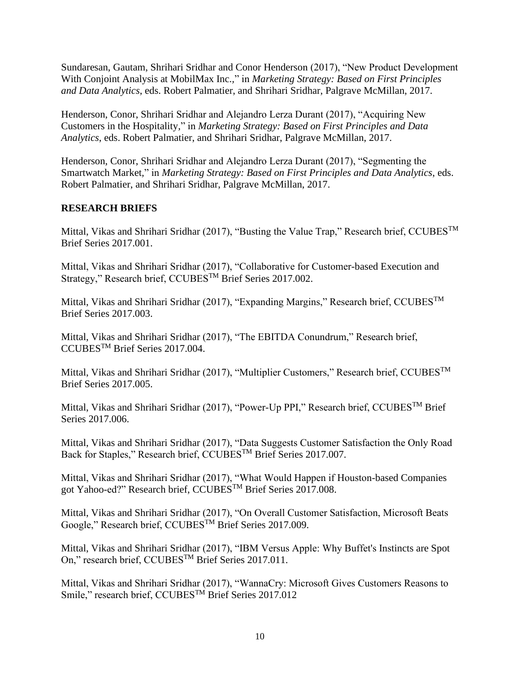Sundaresan, Gautam, Shrihari Sridhar and Conor Henderson (2017), "New Product Development With Conjoint Analysis at MobilMax Inc.*,*" in *Marketing Strategy: Based on First Principles and Data Analytics*, eds. Robert Palmatier, and Shrihari Sridhar, Palgrave McMillan, 2017.

Henderson, Conor, Shrihari Sridhar and Alejandro Lerza Durant (2017), "Acquiring New Customers in the Hospitality*,*" in *Marketing Strategy: Based on First Principles and Data Analytics*, eds. Robert Palmatier, and Shrihari Sridhar, Palgrave McMillan, 2017.

Henderson, Conor, Shrihari Sridhar and Alejandro Lerza Durant (2017), "Segmenting the Smartwatch Market*,*" in *Marketing Strategy: Based on First Principles and Data Analytics*, eds. Robert Palmatier, and Shrihari Sridhar, Palgrave McMillan, 2017.

## **RESEARCH BRIEFS**

Mittal, Vikas and Shrihari Sridhar (2017), "Busting the Value Trap," Research brief, CCUBES<sup>TM</sup> Brief Series 2017.001.

Mittal, Vikas and Shrihari Sridhar (2017), "Collaborative for Customer-based Execution and Strategy," Research brief, CCUBES<sup>TM</sup> Brief Series 2017.002.

Mittal, Vikas and Shrihari Sridhar (2017), "Expanding Margins," Research brief, CCUBESTM Brief Series 2017.003.

Mittal, Vikas and Shrihari Sridhar (2017), "The EBITDA Conundrum," Research brief, CCUBESTM Brief Series 2017.004.

Mittal, Vikas and Shrihari Sridhar (2017), "Multiplier Customers," Research brief, CCUBES<sup>™</sup> Brief Series 2017.005.

Mittal, Vikas and Shrihari Sridhar (2017), "Power-Up PPI," Research brief, CCUBESTM Brief Series 2017.006.

Mittal, Vikas and Shrihari Sridhar (2017), "Data Suggests Customer Satisfaction the Only Road Back for Staples," Research brief, CCUBES<sup>TM</sup> Brief Series 2017.007.

Mittal, Vikas and Shrihari Sridhar (2017), "What Would Happen if Houston-based Companies got Yahoo-ed?" Research brief, CCUBES<sup>TM</sup> Brief Series 2017.008.

Mittal, Vikas and Shrihari Sridhar (2017), "On Overall Customer Satisfaction, Microsoft Beats Google," Research brief, CCUBESTM Brief Series 2017.009.

Mittal, Vikas and Shrihari Sridhar (2017), "IBM Versus Apple: Why Buffet's Instincts are Spot On," research brief, CCUBESTM Brief Series 2017.011.

Mittal, Vikas and Shrihari Sridhar (2017), "WannaCry: Microsoft Gives Customers Reasons to Smile," research brief, CCUBES<sup>™</sup> Brief Series 2017.012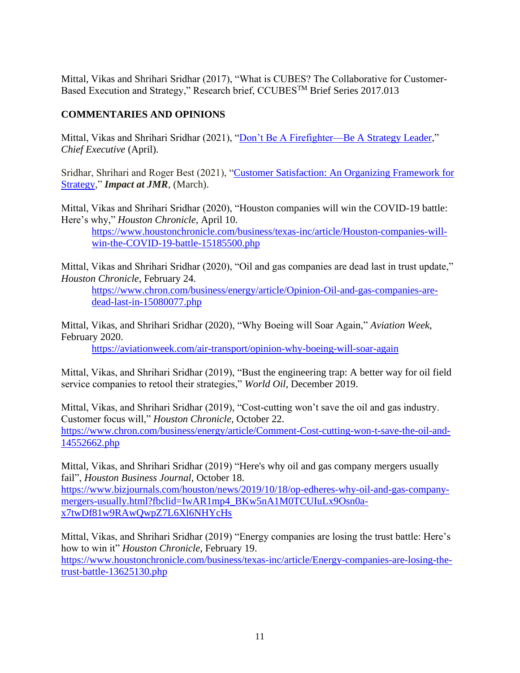Mittal, Vikas and Shrihari Sridhar (2017), "What is CUBES? The Collaborative for Customer-Based Execution and Strategy," Research brief, CCUBESTM Brief Series 2017.013

# **COMMENTARIES AND OPINIONS**

Mittal, Vikas and Shrihari Sridhar (2021), ["Don't Be A Firefighter—Be A Strategy Leader,](https://chiefexecutive.net/dont-be-a-firefighter-be-a-strategy-leader/)" *Chief Executive* (April).

Sridhar, Shrihari and Roger Best (2021), "Customer Satisfaction: An Organizing Framework for [Strategy,](https://www.ama.org/customer-satisfaction-an-organizing-framework-for-strategy/)" *Impact at JMR*, (March).

Mittal, Vikas and Shrihari Sridhar (2020), "Houston companies will win the COVID-19 battle: Here's why," *Houston Chronicle*, April 10.

[https://www.houstonchronicle.com/business/texas-inc/article/Houston-companies-will](https://www.houstonchronicle.com/business/texas-inc/article/Houston-companies-will-win-the-COVID-19-battle-15185500.php)[win-the-COVID-19-battle-15185500.php](https://www.houstonchronicle.com/business/texas-inc/article/Houston-companies-will-win-the-COVID-19-battle-15185500.php)

Mittal, Vikas and Shrihari Sridhar (2020), "Oil and gas companies are dead last in trust update," *Houston Chronicle*, February 24.

[https://www.chron.com/business/energy/article/Opinion-Oil-and-gas-companies-are](https://www.chron.com/business/energy/article/Opinion-Oil-and-gas-companies-are-dead-last-in-15080077.php)[dead-last-in-15080077.php](https://www.chron.com/business/energy/article/Opinion-Oil-and-gas-companies-are-dead-last-in-15080077.php)

Mittal, Vikas, and Shrihari Sridhar (2020), "Why Boeing will Soar Again," *Aviation Week*, February 2020.

[https://aviationweek.com/air-transport/opinion-why-boeing-will-soar-again](https://urldefense.proofpoint.com/v2/url?u=https-3A__aviationweek.com_air-2Dtransport_opinion-2Dwhy-2Dboeing-2Dwill-2Dsoar-2Dagain&d=DwMFAg&c=u6LDEWzohnDQ01ySGnxMzg&r=bBwIGYy5P4UHQqQ-NW1PTBaGJ7SofD8CnPAsXSfivcQ&m=KPQnHDLrNeSLJn7Id_elm8ejMANbGmQnZm7YEE3Lz7U&s=hOENCbYeyEbRy94jx2SIaCbaV8nC2c5JXbXa-_6jpXM&e=)

Mittal, Vikas, and Shrihari Sridhar (2019), "Bust the engineering trap: A better way for oil field service companies to retool their strategies," *World Oil*, December 2019.

Mittal, Vikas, and Shrihari Sridhar (2019), "Cost-cutting won't save the oil and gas industry. Customer focus will," *Houston Chronicle*, October 22. [https://www.chron.com/business/energy/article/Comment-Cost-cutting-won-t-save-the-oil-and-](https://www.chron.com/business/energy/article/Comment-Cost-cutting-won-t-save-the-oil-and-14552662.php)[14552662.php](https://www.chron.com/business/energy/article/Comment-Cost-cutting-won-t-save-the-oil-and-14552662.php)

Mittal, Vikas, and Shrihari Sridhar (2019) "Here's why oil and gas company mergers usually fail", *Houston Business Journal*, October 18.

[https://www.bizjournals.com/houston/news/2019/10/18/op-edheres-why-oil-and-gas-company](https://www.bizjournals.com/houston/news/2019/10/18/op-edheres-why-oil-and-gas-company-mergers-usually.html?fbclid=IwAR1mp4_BKw5nA1M0TCUIuLx9Osn0a-x7twDf81w9RAwQwpZ7L6Xl6NHYcHs)[mergers-usually.html?fbclid=IwAR1mp4\\_BKw5nA1M0TCUIuLx9Osn0a](https://www.bizjournals.com/houston/news/2019/10/18/op-edheres-why-oil-and-gas-company-mergers-usually.html?fbclid=IwAR1mp4_BKw5nA1M0TCUIuLx9Osn0a-x7twDf81w9RAwQwpZ7L6Xl6NHYcHs)[x7twDf81w9RAwQwpZ7L6Xl6NHYcHs](https://www.bizjournals.com/houston/news/2019/10/18/op-edheres-why-oil-and-gas-company-mergers-usually.html?fbclid=IwAR1mp4_BKw5nA1M0TCUIuLx9Osn0a-x7twDf81w9RAwQwpZ7L6Xl6NHYcHs)

Mittal, Vikas, and Shrihari Sridhar (2019) "Energy companies are losing the trust battle: Here's how to win it" *Houston Chronicle*, February 19. [https://www.houstonchronicle.com/business/texas-inc/article/Energy-companies-are-losing-the](https://www.houstonchronicle.com/business/texas-inc/article/Energy-companies-are-losing-the-trust-battle-13625130.php)[trust-battle-13625130.php](https://www.houstonchronicle.com/business/texas-inc/article/Energy-companies-are-losing-the-trust-battle-13625130.php)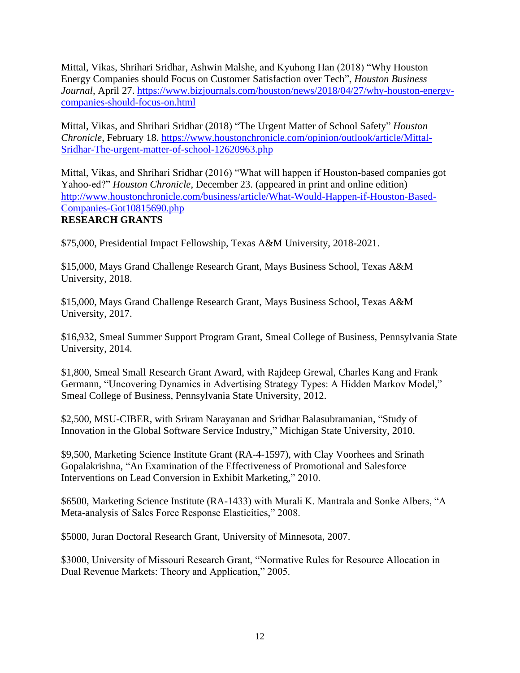Mittal, Vikas, Shrihari Sridhar, Ashwin Malshe, and Kyuhong Han (2018) "Why Houston Energy Companies should Focus on Customer Satisfaction over Tech", *Houston Business Journal*, April 27. [https://www.bizjournals.com/houston/news/2018/04/27/why-houston-energy](https://www.bizjournals.com/houston/news/2018/04/27/why-houston-energy-companies-should-focus-on.html)[companies-should-focus-on.html](https://www.bizjournals.com/houston/news/2018/04/27/why-houston-energy-companies-should-focus-on.html)

Mittal, Vikas, and Shrihari Sridhar (2018) "The Urgent Matter of School Safety" *Houston Chronicle*, February 18. [https://www.houstonchronicle.com/opinion/outlook/article/Mittal-](https://www.houstonchronicle.com/opinion/outlook/article/Mittal-Sridhar-The-urgent-matter-of-school-12620963.php)[Sridhar-The-urgent-matter-of-school-12620963.php](https://www.houstonchronicle.com/opinion/outlook/article/Mittal-Sridhar-The-urgent-matter-of-school-12620963.php)

Mittal, Vikas, and Shrihari Sridhar (2016) "What will happen if Houston-based companies got Yahoo-ed?" *Houston Chronicle*, December 23. (appeared in print and online edition) [http://www.houstonchronicle.com/business/article/What-Would-Happen-if-Houston-Based-](http://www.houstonchronicle.com/business/article/What-Would-Happen-if-Houston-Based-Companies-Got10815690.php)[Companies-Got10815690.php](http://www.houstonchronicle.com/business/article/What-Would-Happen-if-Houston-Based-Companies-Got10815690.php) **RESEARCH GRANTS** 

\$75,000, Presidential Impact Fellowship, Texas A&M University, 2018-2021.

\$15,000, Mays Grand Challenge Research Grant, Mays Business School, Texas A&M University, 2018.

\$15,000, Mays Grand Challenge Research Grant, Mays Business School, Texas A&M University, 2017.

\$16,932, Smeal Summer Support Program Grant, Smeal College of Business, Pennsylvania State University, 2014.

\$1,800, Smeal Small Research Grant Award, with Rajdeep Grewal, Charles Kang and Frank Germann, "Uncovering Dynamics in Advertising Strategy Types: A Hidden Markov Model," Smeal College of Business, Pennsylvania State University, 2012.

\$2,500, MSU-CIBER, with Sriram Narayanan and Sridhar Balasubramanian, "Study of Innovation in the Global Software Service Industry," Michigan State University, 2010.

\$9,500, Marketing Science Institute Grant (RA-4-1597), with Clay Voorhees and Srinath Gopalakrishna, "An Examination of the Effectiveness of Promotional and Salesforce Interventions on Lead Conversion in Exhibit Marketing," 2010.

\$6500, Marketing Science Institute (RA-1433) with Murali K. Mantrala and Sonke Albers, "A Meta-analysis of Sales Force Response Elasticities," 2008.

\$5000, Juran Doctoral Research Grant, University of Minnesota, 2007.

\$3000, University of Missouri Research Grant, "Normative Rules for Resource Allocation in Dual Revenue Markets: Theory and Application," 2005.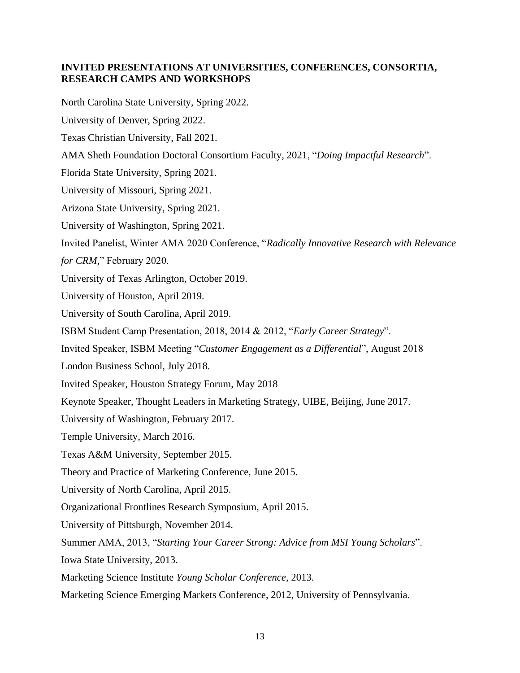## **INVITED PRESENTATIONS AT UNIVERSITIES, CONFERENCES, CONSORTIA, RESEARCH CAMPS AND WORKSHOPS**

North Carolina State University, Spring 2022.

University of Denver, Spring 2022.

Texas Christian University, Fall 2021.

AMA Sheth Foundation Doctoral Consortium Faculty, 2021, "*Doing Impactful Research*".

Florida State University, Spring 2021.

University of Missouri, Spring 2021.

Arizona State University, Spring 2021.

University of Washington, Spring 2021.

Invited Panelist, Winter AMA 2020 Conference, "*Radically Innovative Research with Relevance* 

*for CRM,*" February 2020.

University of Texas Arlington, October 2019.

University of Houston, April 2019.

University of South Carolina, April 2019.

ISBM Student Camp Presentation, 2018, 2014 & 2012, "*Early Career Strategy*".

Invited Speaker, ISBM Meeting "*Customer Engagement as a Differential*", August 2018

London Business School, July 2018.

Invited Speaker, Houston Strategy Forum, May 2018

Keynote Speaker, Thought Leaders in Marketing Strategy, UIBE, Beijing, June 2017.

University of Washington, February 2017.

Temple University, March 2016.

Texas A&M University, September 2015.

Theory and Practice of Marketing Conference, June 2015.

University of North Carolina, April 2015.

Organizational Frontlines Research Symposium, April 2015.

University of Pittsburgh, November 2014.

Summer AMA, 2013, "*Starting Your Career Strong: Advice from MSI Young Scholars*".

Iowa State University, 2013.

Marketing Science Institute *Young Scholar Conference*, 2013.

Marketing Science Emerging Markets Conference, 2012, University of Pennsylvania.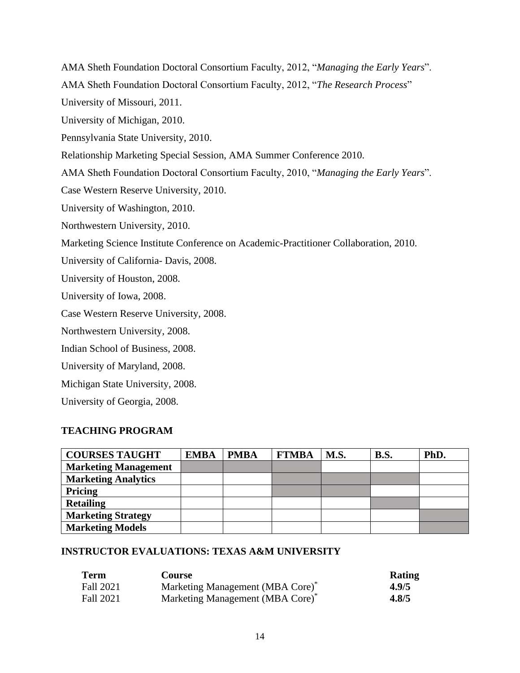AMA Sheth Foundation Doctoral Consortium Faculty, 2012, "*Managing the Early Years*". AMA Sheth Foundation Doctoral Consortium Faculty, 2012, "*The Research Process*" University of Missouri, 2011. University of Michigan, 2010. Pennsylvania State University, 2010. Relationship Marketing Special Session, AMA Summer Conference 2010. AMA Sheth Foundation Doctoral Consortium Faculty, 2010, "*Managing the Early Years*". Case Western Reserve University, 2010. University of Washington, 2010. Northwestern University, 2010. Marketing Science Institute Conference on Academic-Practitioner Collaboration, 2010. University of California- Davis, 2008. University of Houston, 2008. University of Iowa, 2008. Case Western Reserve University, 2008. Northwestern University, 2008. Indian School of Business, 2008. University of Maryland, 2008. Michigan State University, 2008. University of Georgia, 2008.

## **TEACHING PROGRAM**

| <b>COURSES TAUGHT</b>       | <b>EMBA</b> | <b>PMBA</b> | <b>FTMBA</b> | M.S. | <b>B.S.</b> | PhD. |
|-----------------------------|-------------|-------------|--------------|------|-------------|------|
| <b>Marketing Management</b> |             |             |              |      |             |      |
| <b>Marketing Analytics</b>  |             |             |              |      |             |      |
| Pricing                     |             |             |              |      |             |      |
| <b>Retailing</b>            |             |             |              |      |             |      |
| <b>Marketing Strategy</b>   |             |             |              |      |             |      |
| <b>Marketing Models</b>     |             |             |              |      |             |      |

## **INSTRUCTOR EVALUATIONS: TEXAS A&M UNIVERSITY**

| <b>Term</b> | Course                                       | Rating |
|-------------|----------------------------------------------|--------|
| Fall 2021   | Marketing Management (MBA Core) <sup>*</sup> | 4.9/5  |
| Fall 2021   | Marketing Management (MBA Core) <sup>*</sup> | 4.8/5  |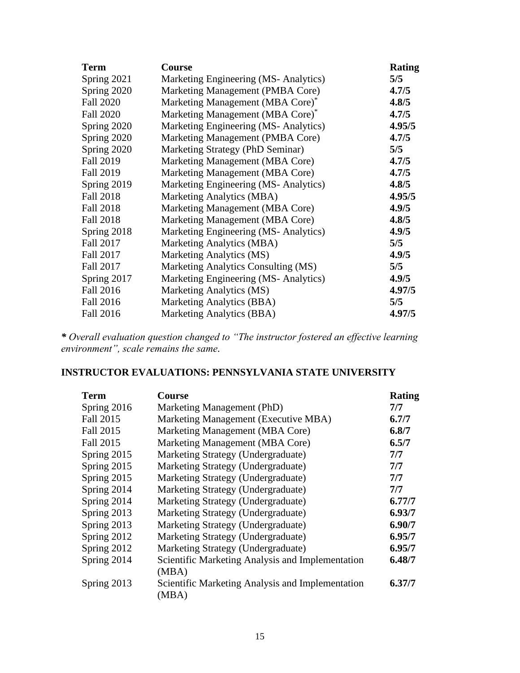| <b>Term</b>      | Course                               | <b>Rating</b> |
|------------------|--------------------------------------|---------------|
| Spring 2021      | Marketing Engineering (MS-Analytics) | 5/5           |
| Spring 2020      | Marketing Management (PMBA Core)     | 4.7/5         |
| <b>Fall 2020</b> | Marketing Management (MBA Core)*     | 4.8/5         |
| <b>Fall 2020</b> | Marketing Management (MBA Core)*     | 4.7/5         |
| Spring 2020      | Marketing Engineering (MS-Analytics) | 4.95/5        |
| Spring 2020      | Marketing Management (PMBA Core)     | 4.7/5         |
| Spring 2020      | Marketing Strategy (PhD Seminar)     | 5/5           |
| <b>Fall 2019</b> | Marketing Management (MBA Core)      | 4.7/5         |
| <b>Fall 2019</b> | Marketing Management (MBA Core)      | 4.7/5         |
| Spring 2019      | Marketing Engineering (MS-Analytics) | 4.8/5         |
| <b>Fall 2018</b> | Marketing Analytics (MBA)            | 4.95/5        |
| Fall 2018        | Marketing Management (MBA Core)      | 4.9/5         |
| Fall 2018        | Marketing Management (MBA Core)      | 4.8/5         |
| Spring 2018      | Marketing Engineering (MS-Analytics) | 4.9/5         |
| Fall 2017        | Marketing Analytics (MBA)            | 5/5           |
| Fall 2017        | Marketing Analytics (MS)             | 4.9/5         |
| Fall 2017        | Marketing Analytics Consulting (MS)  | 5/5           |
| Spring 2017      | Marketing Engineering (MS-Analytics) | 4.9/5         |
| Fall 2016        | Marketing Analytics (MS)             | 4.97/5        |
| Fall 2016        | Marketing Analytics (BBA)            | 5/5           |
| <b>Fall 2016</b> | Marketing Analytics (BBA)            | 4.97/5        |

*\* Overall evaluation question changed to "The instructor fostered an effective learning environment", scale remains the same.*

# **INSTRUCTOR EVALUATIONS: PENNSYLVANIA STATE UNIVERSITY**

| Term        | <b>Course</b>                                             | Rating |
|-------------|-----------------------------------------------------------|--------|
| Spring 2016 | Marketing Management (PhD)                                | 7/7    |
| Fall 2015   | Marketing Management (Executive MBA)                      | 6.7/7  |
| Fall 2015   | Marketing Management (MBA Core)                           | 6.8/7  |
| Fall 2015   | Marketing Management (MBA Core)                           | 6.5/7  |
| Spring 2015 | Marketing Strategy (Undergraduate)                        | 7/7    |
| Spring 2015 | Marketing Strategy (Undergraduate)                        | 7/7    |
| Spring 2015 | Marketing Strategy (Undergraduate)                        | 7/7    |
| Spring 2014 | Marketing Strategy (Undergraduate)                        | 7/7    |
| Spring 2014 | Marketing Strategy (Undergraduate)                        | 6.77/7 |
| Spring 2013 | Marketing Strategy (Undergraduate)                        | 6.93/7 |
| Spring 2013 | Marketing Strategy (Undergraduate)                        | 6.90/7 |
| Spring 2012 | Marketing Strategy (Undergraduate)                        | 6.95/7 |
| Spring 2012 | Marketing Strategy (Undergraduate)                        | 6.95/7 |
| Spring 2014 | Scientific Marketing Analysis and Implementation<br>(MBA) | 6.48/7 |
| Spring 2013 | Scientific Marketing Analysis and Implementation<br>(MBA) | 6.37/7 |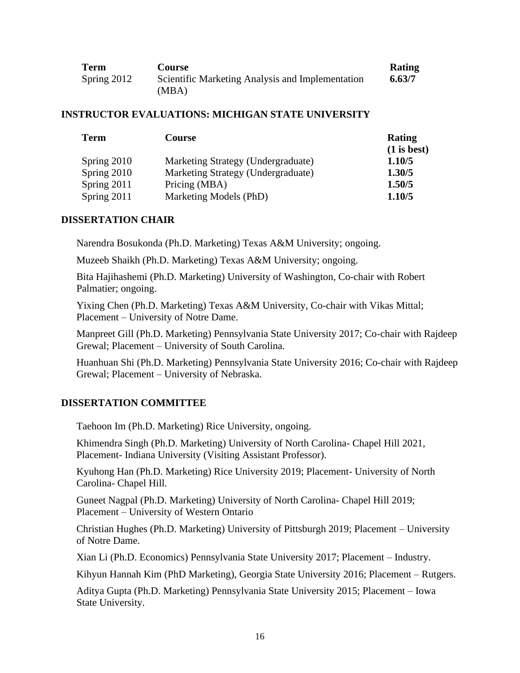| <b>Term</b> | Course                                           | <b>Rating</b> |
|-------------|--------------------------------------------------|---------------|
| Spring 2012 | Scientific Marketing Analysis and Implementation | 6.63/7        |
|             | (MBA)                                            |               |

#### **INSTRUCTOR EVALUATIONS: MICHIGAN STATE UNIVERSITY**

| <b>Term</b>   | <b>Course</b>                      | <b>Rating</b><br>$(1$ is best) |
|---------------|------------------------------------|--------------------------------|
| Spring 2010   | Marketing Strategy (Undergraduate) | 1.10/5                         |
| Spring 2010   | Marketing Strategy (Undergraduate) | 1.30/5                         |
| Spring $2011$ | Pricing (MBA)                      | 1.50/5                         |
| Spring 2011   | Marketing Models (PhD)             | 1.10/5                         |

### **DISSERTATION CHAIR**

Narendra Bosukonda (Ph.D. Marketing) Texas A&M University; ongoing.

Muzeeb Shaikh (Ph.D. Marketing) Texas A&M University; ongoing.

Bita Hajihashemi (Ph.D. Marketing) University of Washington, Co-chair with Robert Palmatier; ongoing.

Yixing Chen (Ph.D. Marketing) Texas A&M University, Co-chair with Vikas Mittal; Placement – University of Notre Dame.

Manpreet Gill (Ph.D. Marketing) Pennsylvania State University 2017; Co-chair with Rajdeep Grewal; Placement – University of South Carolina.

Huanhuan Shi (Ph.D. Marketing) Pennsylvania State University 2016; Co-chair with Rajdeep Grewal; Placement – University of Nebraska.

### **DISSERTATION COMMITTEE**

Taehoon Im (Ph.D. Marketing) Rice University, ongoing.

Khimendra Singh (Ph.D. Marketing) University of North Carolina- Chapel Hill 2021, Placement- Indiana University (Visiting Assistant Professor).

Kyuhong Han (Ph.D. Marketing) Rice University 2019; Placement- University of North Carolina- Chapel Hill.

Guneet Nagpal (Ph.D. Marketing) University of North Carolina- Chapel Hill 2019; Placement – University of Western Ontario

Christian Hughes (Ph.D. Marketing) University of Pittsburgh 2019; Placement – University of Notre Dame.

Xian Li (Ph.D. Economics) Pennsylvania State University 2017; Placement – Industry.

Kihyun Hannah Kim (PhD Marketing), Georgia State University 2016; Placement – Rutgers.

Aditya Gupta (Ph.D. Marketing) Pennsylvania State University 2015; Placement – Iowa State University.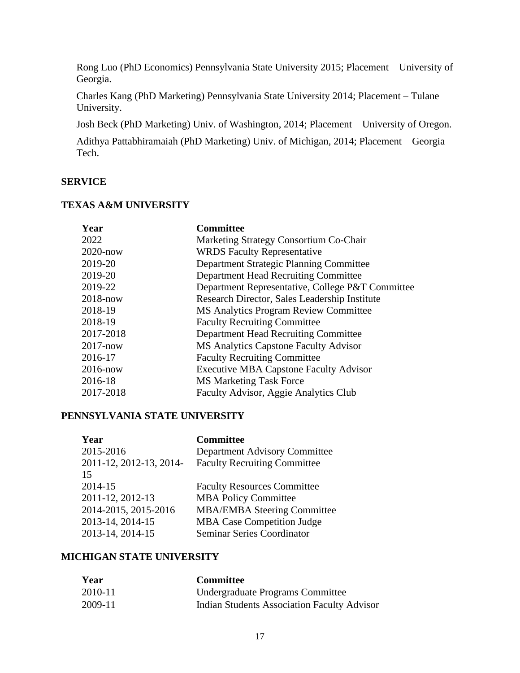Rong Luo (PhD Economics) Pennsylvania State University 2015; Placement – University of Georgia.

Charles Kang (PhD Marketing) Pennsylvania State University 2014; Placement – Tulane University.

Josh Beck (PhD Marketing) Univ. of Washington, 2014; Placement – University of Oregon.

Adithya Pattabhiramaiah (PhD Marketing) Univ. of Michigan, 2014; Placement – Georgia Tech.

### **SERVICE**

### **TEXAS A&M UNIVERSITY**

| Year         | <b>Committee</b>                                 |
|--------------|--------------------------------------------------|
| 2022         | Marketing Strategy Consortium Co-Chair           |
| $2020$ -now  | <b>WRDS</b> Faculty Representative               |
| 2019-20      | Department Strategic Planning Committee          |
| 2019-20      | Department Head Recruiting Committee             |
| 2019-22      | Department Representative, College P&T Committee |
| $2018 - now$ | Research Director, Sales Leadership Institute    |
| 2018-19      | <b>MS Analytics Program Review Committee</b>     |
| 2018-19      | <b>Faculty Recruiting Committee</b>              |
| 2017-2018    | Department Head Recruiting Committee             |
| $2017 - now$ | <b>MS Analytics Capstone Faculty Advisor</b>     |
| 2016-17      | <b>Faculty Recruiting Committee</b>              |
| $2016$ -now  | <b>Executive MBA Capstone Faculty Advisor</b>    |
| 2016-18      | <b>MS Marketing Task Force</b>                   |
| 2017-2018    | Faculty Advisor, Aggie Analytics Club            |

### **PENNSYLVANIA STATE UNIVERSITY**

| Year                    | <b>Committee</b>                    |
|-------------------------|-------------------------------------|
| 2015-2016               | Department Advisory Committee       |
| 2011-12, 2012-13, 2014- | <b>Faculty Recruiting Committee</b> |
| 15                      |                                     |
| 2014-15                 | <b>Faculty Resources Committee</b>  |
| 2011-12, 2012-13        | <b>MBA Policy Committee</b>         |
| 2014-2015, 2015-2016    | <b>MBA/EMBA Steering Committee</b>  |
| 2013-14, 2014-15        | <b>MBA Case Competition Judge</b>   |
| 2013-14, 2014-15        | <b>Seminar Series Coordinator</b>   |

## **MICHIGAN STATE UNIVERSITY**

| Year    | <b>Committee</b>                                   |
|---------|----------------------------------------------------|
| 2010-11 | Undergraduate Programs Committee                   |
| 2009-11 | <b>Indian Students Association Faculty Advisor</b> |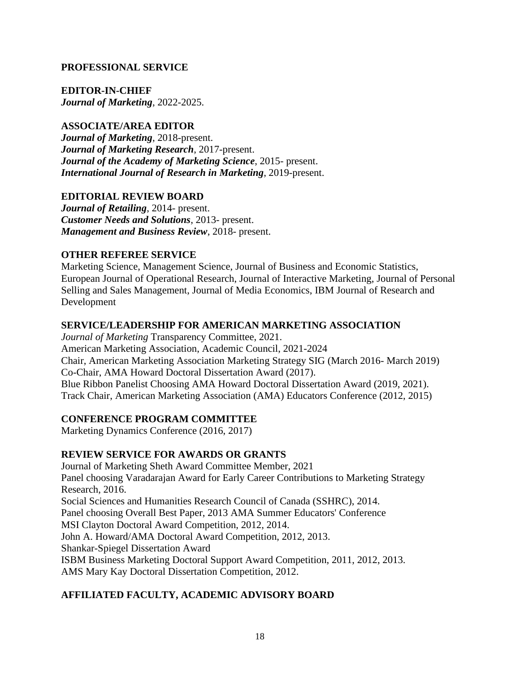## **PROFESSIONAL SERVICE**

**EDITOR-IN-CHIEF**

*Journal of Marketing*, 2022-2025.

## **ASSOCIATE/AREA EDITOR**

*Journal of Marketing*, 2018-present. *Journal of Marketing Research*, 2017-present. *Journal of the Academy of Marketing Science*, 2015- present. *International Journal of Research in Marketing*, 2019-present.

## **EDITORIAL REVIEW BOARD**

*Journal of Retailing*, 2014- present. *Customer Needs and Solutions*, 2013- present. *Management and Business Review*, 2018- present.

## **OTHER REFEREE SERVICE**

Marketing Science, Management Science, Journal of Business and Economic Statistics, European Journal of Operational Research, Journal of Interactive Marketing, Journal of Personal Selling and Sales Management, Journal of Media Economics, IBM Journal of Research and Development

## **SERVICE/LEADERSHIP FOR AMERICAN MARKETING ASSOCIATION**

*Journal of Marketing* Transparency Committee, 2021. American Marketing Association, Academic Council, 2021-2024 Chair, American Marketing Association Marketing Strategy SIG (March 2016- March 2019) Co-Chair, AMA Howard Doctoral Dissertation Award (2017). Blue Ribbon Panelist Choosing AMA Howard Doctoral Dissertation Award (2019, 2021). Track Chair, American Marketing Association (AMA) Educators Conference (2012, 2015)

# **CONFERENCE PROGRAM COMMITTEE**

Marketing Dynamics Conference (2016, 2017)

## **REVIEW SERVICE FOR AWARDS OR GRANTS**

Journal of Marketing Sheth Award Committee Member, 2021 Panel choosing Varadarajan Award for Early Career Contributions to Marketing Strategy Research, 2016. Social Sciences and Humanities Research Council of Canada (SSHRC), 2014. Panel choosing Overall Best Paper, 2013 AMA Summer Educators' Conference MSI Clayton Doctoral Award Competition, 2012, 2014. John A. Howard/AMA Doctoral Award Competition, 2012, 2013. Shankar-Spiegel Dissertation Award ISBM Business Marketing Doctoral Support Award Competition, 2011, 2012, 2013. AMS Mary Kay Doctoral Dissertation Competition, 2012.

# **AFFILIATED FACULTY, ACADEMIC ADVISORY BOARD**